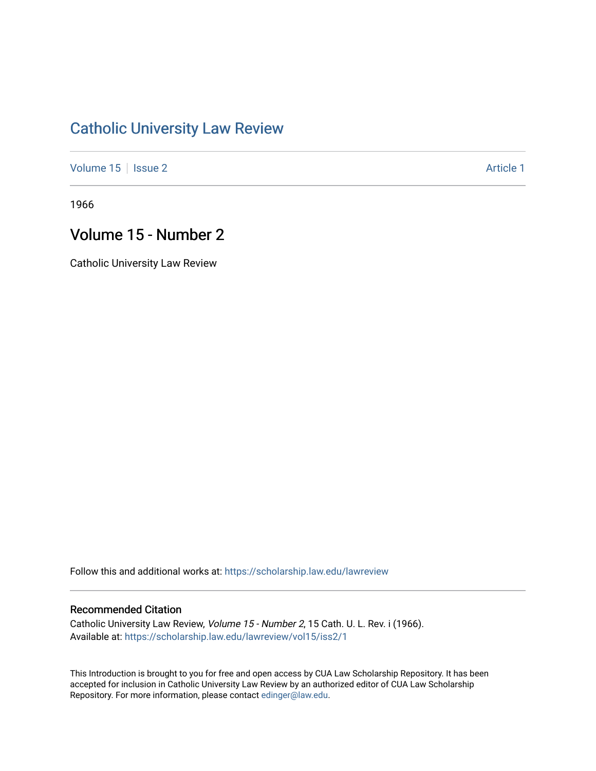## [Catholic University Law Review](https://scholarship.law.edu/lawreview)

[Volume 15](https://scholarship.law.edu/lawreview/vol15) | [Issue 2](https://scholarship.law.edu/lawreview/vol15/iss2) Article 1

1966

## Volume 15 - Number 2

Catholic University Law Review

Follow this and additional works at: [https://scholarship.law.edu/lawreview](https://scholarship.law.edu/lawreview?utm_source=scholarship.law.edu%2Flawreview%2Fvol15%2Fiss2%2F1&utm_medium=PDF&utm_campaign=PDFCoverPages)

## Recommended Citation

Catholic University Law Review, Volume 15 - Number 2, 15 Cath. U. L. Rev. i (1966). Available at: [https://scholarship.law.edu/lawreview/vol15/iss2/1](https://scholarship.law.edu/lawreview/vol15/iss2/1?utm_source=scholarship.law.edu%2Flawreview%2Fvol15%2Fiss2%2F1&utm_medium=PDF&utm_campaign=PDFCoverPages)

This Introduction is brought to you for free and open access by CUA Law Scholarship Repository. It has been accepted for inclusion in Catholic University Law Review by an authorized editor of CUA Law Scholarship Repository. For more information, please contact [edinger@law.edu.](mailto:edinger@law.edu)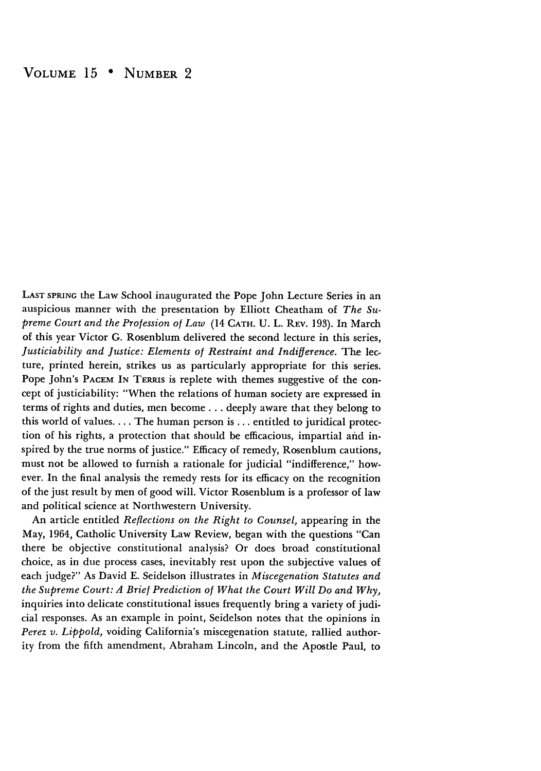**LAST** SPRING the Law School inaugurated the Pope John Lecture Series in an auspicious manner with the presentation by Elliott Cheatham of *The Supreme Court and the Profession of Law* (14 **CATH.** U. L. REV. 193). In March of this year Victor G. Rosenblum delivered the second lecture in this series, *Justiciability and Justice: Elements of Restraint and Indifference.* The lecture, printed herein, strikes us as particularly appropriate for this series. Pope John's PACEM IN TERRIS is replete with themes suggestive of the concept of justiciability: "When the relations of human society are expressed in terms of rights and duties, men become.., deeply aware that they belong to this world of values.... The human person is ... entitled to juridical protection of his rights, a protection that should be efficacious, impartial and inspired by the true norms of justice." Efficacy of remedy, Rosenblum cautions, must not be allowed to furnish a rationale for judicial "indifference," however. In the final analysis the remedy rests for its efficacy on the recognition of the just result by men of good will. Victor Rosenblum is a professor of law and political science at Northwestern University.

An article entitled *Reflections on the Right to Counsel,* appearing in the May, 1964, Catholic University Law Review, began with the questions "Can there be objective constitutional analysis? Or does broad constitutional choice, as in due process cases, inevitably rest upon the subjective values of each judge?" As David E. Seidelson illustrates in *Miscegenation Statutes and the Supreme Court: A Brief Prediction of What the Court Will Do and Why,* inquiries into delicate constitutional issues frequently bring a variety of judicial responses. As an example in point, Seidelson notes that the opinions in *Perez v. Lippold,* voiding California's miscegenation statute, rallied authority from the fifth amendment, Abraham Lincoln, and the Apostle Paul, to